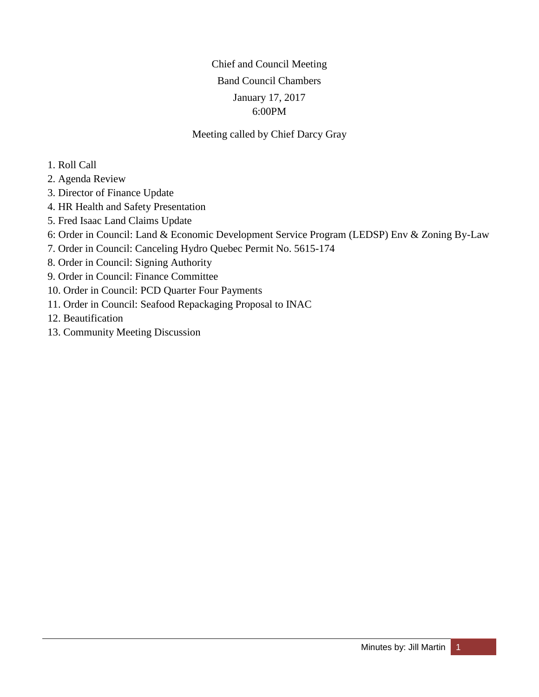# Chief and Council Meeting Band Council Chambers January 17, 2017 6:00PM

### Meeting called by Chief Darcy Gray

- 1. Roll Call
- 2. Agenda Review
- 3. Director of Finance Update
- 4. HR Health and Safety Presentation
- 5. Fred Isaac Land Claims Update
- 6: Order in Council: Land & Economic Development Service Program (LEDSP) Env & Zoning By-Law
- 7. Order in Council: Canceling Hydro Quebec Permit No. 5615-174
- 8. Order in Council: Signing Authority
- 9. Order in Council: Finance Committee
- 10. Order in Council: PCD Quarter Four Payments
- 11. Order in Council: Seafood Repackaging Proposal to INAC
- 12. Beautification
- 13. Community Meeting Discussion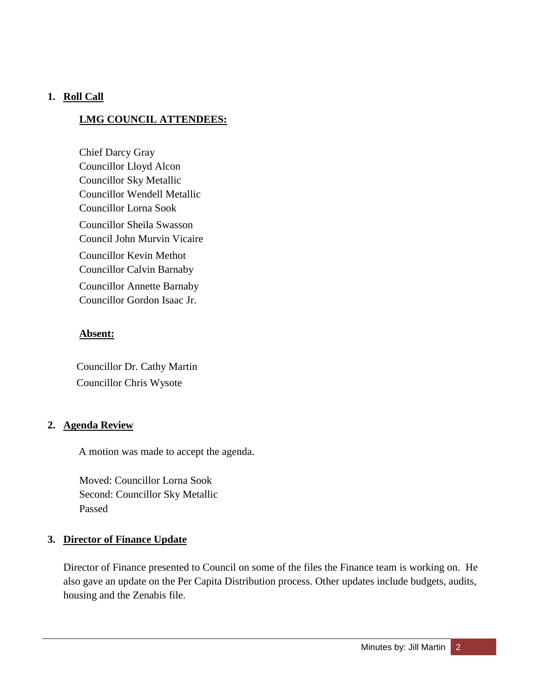### **1. Roll Call**

### **LMG COUNCIL ATTENDEES:**

Chief Darcy Gray Councillor Lloyd Alcon Councillor Sky Metallic Councillor Wendell Metallic Councillor Lorna Sook Councillor Sheila Swasson Council John Murvin Vicaire Councillor Kevin Methot Councillor Calvin Barnaby Councillor Annette Barnaby Councillor Gordon Isaac Jr.

### **Absent:**

 Councillor Dr. Cathy Martin Councillor Chris Wysote

#### **2. Agenda Review**

A motion was made to accept the agenda.

Moved: Councillor Lorna Sook Second: Councillor Sky Metallic Passed

### **3. Director of Finance Update**

Director of Finance presented to Council on some of the files the Finance team is working on. He also gave an update on the Per Capita Distribution process. Other updates include budgets, audits, housing and the Zenabis file.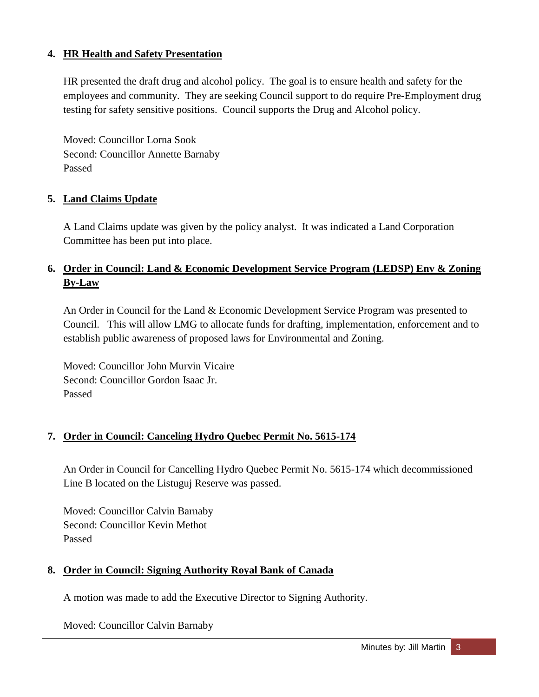### **4. HR Health and Safety Presentation**

HR presented the draft drug and alcohol policy. The goal is to ensure health and safety for the employees and community. They are seeking Council support to do require Pre-Employment drug testing for safety sensitive positions. Council supports the Drug and Alcohol policy.

Moved: Councillor Lorna Sook Second: Councillor Annette Barnaby Passed

## **5. Land Claims Update**

A Land Claims update was given by the policy analyst. It was indicated a Land Corporation Committee has been put into place.

# **6. Order in Council: Land & Economic Development Service Program (LEDSP) Env & Zoning By-Law**

An Order in Council for the Land & Economic Development Service Program was presented to Council. This will allow LMG to allocate funds for drafting, implementation, enforcement and to establish public awareness of proposed laws for Environmental and Zoning.

Moved: Councillor John Murvin Vicaire Second: Councillor Gordon Isaac Jr. Passed

### **7. Order in Council: Canceling Hydro Quebec Permit No. 5615-174**

An Order in Council for Cancelling Hydro Quebec Permit No. 5615-174 which decommissioned Line B located on the Listuguj Reserve was passed.

Moved: Councillor Calvin Barnaby Second: Councillor Kevin Methot Passed

### **8. Order in Council: Signing Authority Royal Bank of Canada**

A motion was made to add the Executive Director to Signing Authority.

Moved: Councillor Calvin Barnaby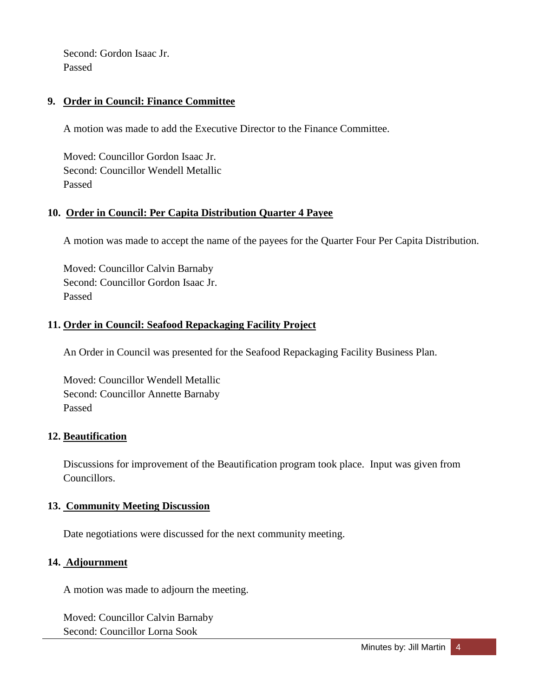Second: Gordon Isaac Jr. Passed

### **9. Order in Council: Finance Committee**

A motion was made to add the Executive Director to the Finance Committee.

Moved: Councillor Gordon Isaac Jr. Second: Councillor Wendell Metallic Passed

## **10. Order in Council: Per Capita Distribution Quarter 4 Payee**

A motion was made to accept the name of the payees for the Quarter Four Per Capita Distribution.

Moved: Councillor Calvin Barnaby Second: Councillor Gordon Isaac Jr. Passed

### **11. Order in Council: Seafood Repackaging Facility Project**

An Order in Council was presented for the Seafood Repackaging Facility Business Plan.

Moved: Councillor Wendell Metallic Second: Councillor Annette Barnaby Passed

### **12. Beautification**

Discussions for improvement of the Beautification program took place. Input was given from Councillors.

### **13. Community Meeting Discussion**

Date negotiations were discussed for the next community meeting.

### **14. Adjournment**

A motion was made to adjourn the meeting.

Moved: Councillor Calvin Barnaby Second: Councillor Lorna Sook